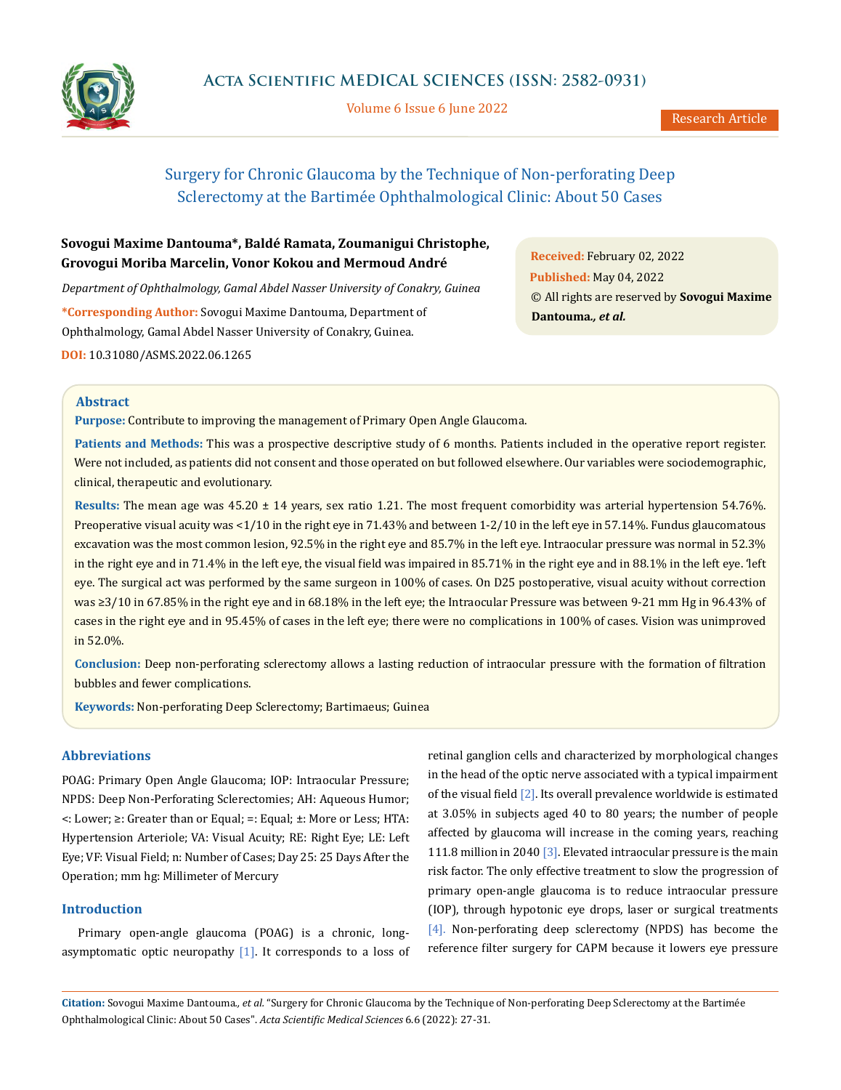

Volume 6 Issue 6 June 2022

# Surgery for Chronic Glaucoma by the Technique of Non-perforating Deep Sclerectomy at the Bartimée Ophthalmological Clinic: About 50 Cases

## **Sovogui Maxime Dantouma\*, Baldé Ramata, Zoumanigui Christophe, Grovogui Moriba Marcelin, Vonor Kokou and Mermoud André**

*Department of Ophthalmology, Gamal Abdel Nasser University of Conakry, Guinea*

**\*Corresponding Author:** Sovogui Maxime Dantouma, Department of Ophthalmology, Gamal Abdel Nasser University of Conakry, Guinea.

**DOI:** [10.31080/ASMS.2022.06.1265](http://actascientific.com/ASMS/pdf/ASMS-06-1265.pdf)

**Received:** February 02, 2022 **Published:** May 04, 2022 © All rights are reserved by **Sovogui Maxime Dantouma***., et al.*

## **Abstract**

**Purpose:** Contribute to improving the management of Primary Open Angle Glaucoma.

**Patients and Methods:** This was a prospective descriptive study of 6 months. Patients included in the operative report register. Were not included, as patients did not consent and those operated on but followed elsewhere. Our variables were sociodemographic, clinical, therapeutic and evolutionary.

**Results:** The mean age was 45.20 ± 14 years, sex ratio 1.21. The most frequent comorbidity was arterial hypertension 54.76%. Preoperative visual acuity was <1/10 in the right eye in 71.43% and between 1-2/10 in the left eye in 57.14%. Fundus glaucomatous excavation was the most common lesion, 92.5% in the right eye and 85.7% in the left eye. Intraocular pressure was normal in 52.3% in the right eye and in 71.4% in the left eye, the visual field was impaired in 85.71% in the right eye and in 88.1% in the left eye. 'left eye. The surgical act was performed by the same surgeon in 100% of cases. On D25 postoperative, visual acuity without correction was ≥3/10 in 67.85% in the right eye and in 68.18% in the left eye; the Intraocular Pressure was between 9-21 mm Hg in 96.43% of cases in the right eye and in 95.45% of cases in the left eye; there were no complications in 100% of cases. Vision was unimproved in 52.0%.

**Conclusion:** Deep non-perforating sclerectomy allows a lasting reduction of intraocular pressure with the formation of filtration bubbles and fewer complications.

**Keywords:** Non-perforating Deep Sclerectomy; Bartimaeus; Guinea

## **Abbreviations**

POAG: Primary Open Angle Glaucoma; IOP: Intraocular Pressure; NPDS: Deep Non-Perforating Sclerectomies; AH: Aqueous Humor; <: Lower; ≥: Greater than or Equal; =: Equal; ±: More or Less; HTA: Hypertension Arteriole; VA: Visual Acuity; RE: Right Eye; LE: Left Eye; VF: Visual Field; n: Number of Cases; Day 25: 25 Days After the Operation; mm hg: Millimeter of Mercury

## **Introduction**

Primary open-angle glaucoma (POAG) is a chronic, longasymptomatic optic neuropathy  $[1]$ . It corresponds to a loss of retinal ganglion cells and characterized by morphological changes in the head of the optic nerve associated with a typical impairment of the visual field  $[2]$ . Its overall prevalence worldwide is estimated at 3.05% in subjects aged 40 to 80 years; the number of people affected by glaucoma will increase in the coming years, reaching 111.8 million in 2040 [3]. Elevated intraocular pressure is the main risk factor. The only effective treatment to slow the progression of primary open-angle glaucoma is to reduce intraocular pressure (IOP), through hypotonic eye drops, laser or surgical treatments [4]. Non-perforating deep sclerectomy (NPDS) has become the reference filter surgery for CAPM because it lowers eye pressure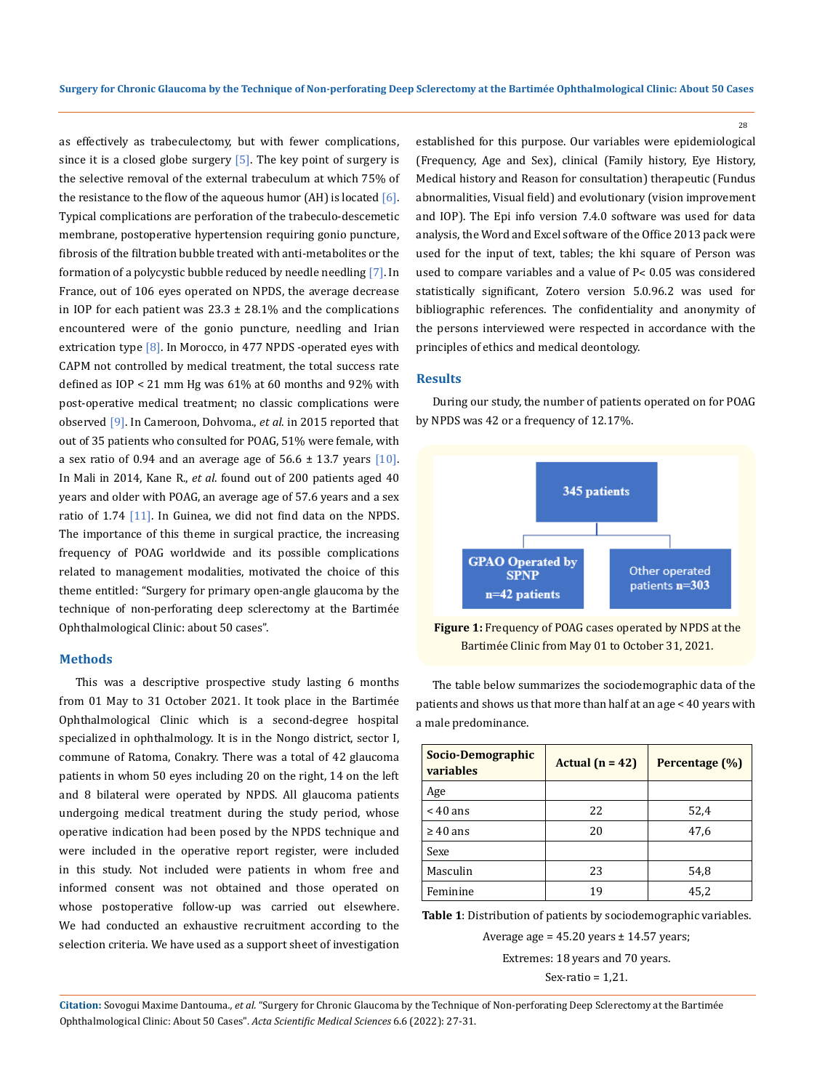as effectively as trabeculectomy, but with fewer complications, since it is a closed globe surgery  $[5]$ . The key point of surgery is the selective removal of the external trabeculum at which 75% of the resistance to the flow of the aqueous humor (AH) is located  $[6]$ . Typical complications are perforation of the trabeculo-descemetic membrane, postoperative hypertension requiring gonio puncture, fibrosis of the filtration bubble treated with anti-metabolites or the formation of a polycystic bubble reduced by needle needling [7]. In France, out of 106 eyes operated on NPDS, the average decrease in IOP for each patient was  $23.3 \pm 28.1\%$  and the complications encountered were of the gonio puncture, needling and Irian extrication type  $[8]$ . In Morocco, in 477 NPDS -operated eyes with CAPM not controlled by medical treatment, the total success rate defined as IOP < 21 mm Hg was 61% at 60 months and 92% with post-operative medical treatment; no classic complications were observed [9]. In Cameroon, Dohvoma., *et al*. in 2015 reported that out of 35 patients who consulted for POAG, 51% were female, with a sex ratio of 0.94 and an average age of  $56.6 \pm 13.7$  years [10]. In Mali in 2014, Kane R., *et al*. found out of 200 patients aged 40 years and older with POAG, an average age of 57.6 years and a sex ratio of  $1.74$  [11]. In Guinea, we did not find data on the NPDS. The importance of this theme in surgical practice, the increasing frequency of POAG worldwide and its possible complications related to management modalities, motivated the choice of this theme entitled: "Surgery for primary open-angle glaucoma by the technique of non-perforating deep sclerectomy at the Bartimée Ophthalmological Clinic: about 50 cases".

#### **Methods**

This was a descriptive prospective study lasting 6 months from 01 May to 31 October 2021. It took place in the Bartimée Ophthalmological Clinic which is a second-degree hospital specialized in ophthalmology. It is in the Nongo district, sector I, commune of Ratoma, Conakry. There was a total of 42 glaucoma patients in whom 50 eyes including 20 on the right, 14 on the left and 8 bilateral were operated by NPDS. All glaucoma patients undergoing medical treatment during the study period, whose operative indication had been posed by the NPDS technique and were included in the operative report register, were included in this study. Not included were patients in whom free and informed consent was not obtained and those operated on whose postoperative follow-up was carried out elsewhere. We had conducted an exhaustive recruitment according to the selection criteria. We have used as a support sheet of investigation

established for this purpose. Our variables were epidemiological (Frequency, Age and Sex), clinical (Family history, Eye History, Medical history and Reason for consultation) therapeutic (Fundus abnormalities, Visual field) and evolutionary (vision improvement and IOP). The Epi info version 7.4.0 software was used for data analysis, the Word and Excel software of the Office 2013 pack were used for the input of text, tables; the khi square of Person was used to compare variables and a value of P˂ 0.05 was considered statistically significant, Zotero version 5.0.96.2 was used for bibliographic references. The confidentiality and anonymity of the persons interviewed were respected in accordance with the principles of ethics and medical deontology.

28

## **Results**

During our study, the number of patients operated on for POAG by NPDS was 42 or a frequency of 12.17%.



**Figure 1:** Frequency of POAG cases operated by NPDS at the Bartimée Clinic from May 01 to October 31, 2021.

The table below summarizes the sociodemographic data of the patients and shows us that more than half at an age < 40 years with a male predominance.

| Socio-Demographic<br>variables | Actual $(n = 42)$ | Percentage (%) |  |
|--------------------------------|-------------------|----------------|--|
| Age                            |                   |                |  |
| $< 40$ ans                     | 22                | 52,4           |  |
| $\geq 40$ ans                  | 20                | 47.6           |  |
| Sexe                           |                   |                |  |
| Masculin                       | 23                | 54,8           |  |
| Feminine                       | 19                | 45,2           |  |

**Table 1**: Distribution of patients by sociodemographic variables.

Average age =  $45.20$  years  $\pm$  14.57 years;

Extremes: 18 years and 70 years. Sex-ratio = 1,21.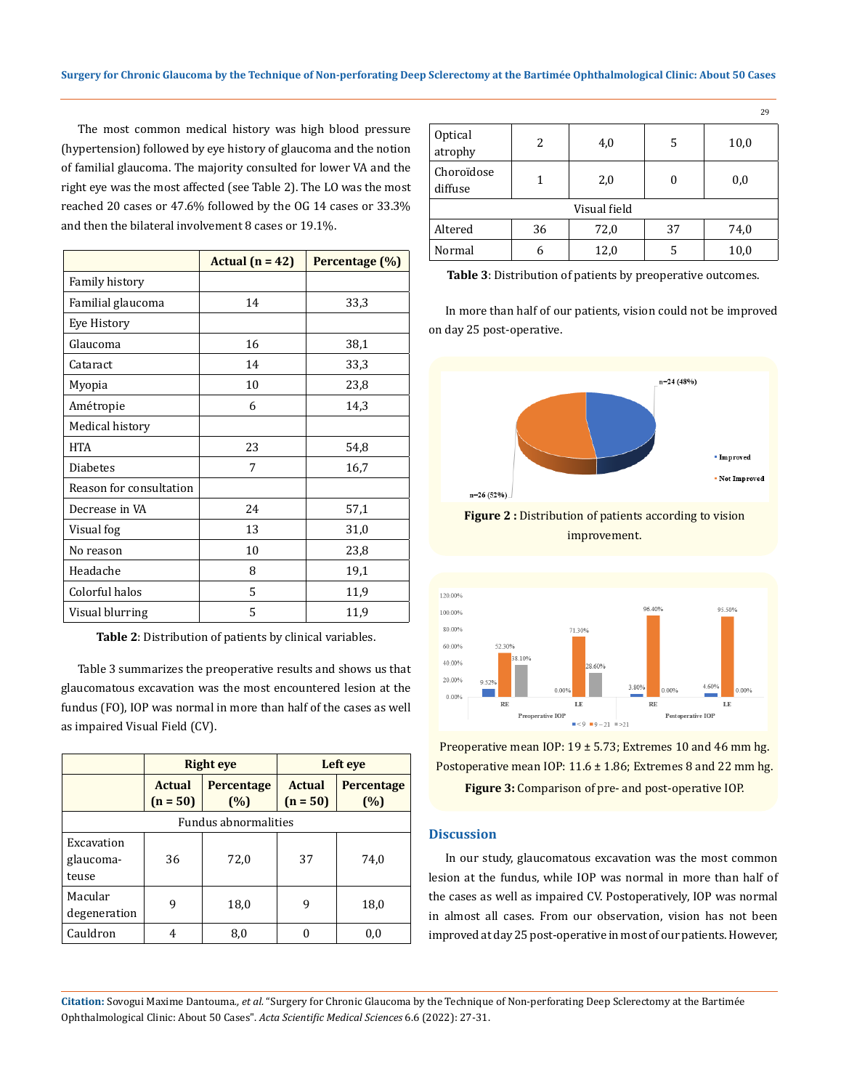The most common medical history was high blood pressure (hypertension) followed by eye history of glaucoma and the notion of familial glaucoma. The majority consulted for lower VA and the right eye was the most affected (see Table 2). The LO was the most reached 20 cases or 47.6% followed by the OG 14 cases or 33.3% and then the bilateral involvement 8 cases or 19.1%.

|                         | Actual $(n = 42)$ | Percentage (%) |
|-------------------------|-------------------|----------------|
| Family history          |                   |                |
| Familial glaucoma       | 14                | 33,3           |
| Eye History             |                   |                |
| Glaucoma                | 16                | 38,1           |
| Cataract                | 14                | 33,3           |
| Myopia                  | 10                | 23,8           |
| Amétropie               | 6                 | 14,3           |
| Medical history         |                   |                |
| <b>HTA</b>              | 23                | 54,8           |
| Diabetes                | 7                 | 16,7           |
| Reason for consultation |                   |                |
| Decrease in VA          | 24                | 57,1           |
| Visual fog              | 13                | 31,0           |
| No reason               | 10                | 23,8           |
| Headache                | 8                 | 19,1           |
| Colorful halos          | 5                 | 11,9           |
| Visual blurring         | 5                 | 11,9           |

**Table 2**: Distribution of patients by clinical variables.

Table 3 summarizes the preoperative results and shows us that glaucomatous excavation was the most encountered lesion at the fundus (FO), IOP was normal in more than half of the cases as well as impaired Visual Field (CV).

|                                  | <b>Right</b> eye            |                          | Left eye                    |                   |  |
|----------------------------------|-----------------------------|--------------------------|-----------------------------|-------------------|--|
|                                  | <b>Actual</b><br>$(n = 50)$ | <b>Percentage</b><br>(%) | <b>Actual</b><br>$(n = 50)$ | Percentage<br>(%) |  |
| <b>Fundus abnormalities</b>      |                             |                          |                             |                   |  |
| Excavation<br>glaucoma-<br>teuse | 36                          | 72,0                     | 37                          | 74,0              |  |
| Macular<br>degeneration          | 9                           | 18,0                     | 9                           | 18,0              |  |
| Cauldron                         | 4                           | 8,0                      |                             | 0,0               |  |

|                       |    |      |    | 29   |  |
|-----------------------|----|------|----|------|--|
| Optical<br>atrophy    | 2  | 4,0  | 5  | 10,0 |  |
| Choroïdose<br>diffuse | 1  | 2,0  | 0  | 0,0  |  |
| Visual field          |    |      |    |      |  |
| Altered               | 36 | 72,0 | 37 | 74,0 |  |
| Normal                | 6  | 12,0 | 5  | 10,0 |  |

**Table 3**: Distribution of patients by preoperative outcomes.

In more than half of our patients, vision could not be improved on day 25 post-operative.



**Figure 2 :** Distribution of patients according to vision improvement.



Preoperative mean IOP: 19 ± 5.73; Extremes 10 and 46 mm hg. Postoperative mean IOP:  $11.6 \pm 1.86$ ; Extremes 8 and 22 mm hg.

**Figure 3:** Comparison of pre- and post-operative IOP.

#### **Discussion**

In our study, glaucomatous excavation was the most common lesion at the fundus, while IOP was normal in more than half of the cases as well as impaired CV. Postoperatively, IOP was normal in almost all cases. From our observation, vision has not been improved at day 25 post-operative in most of our patients. However,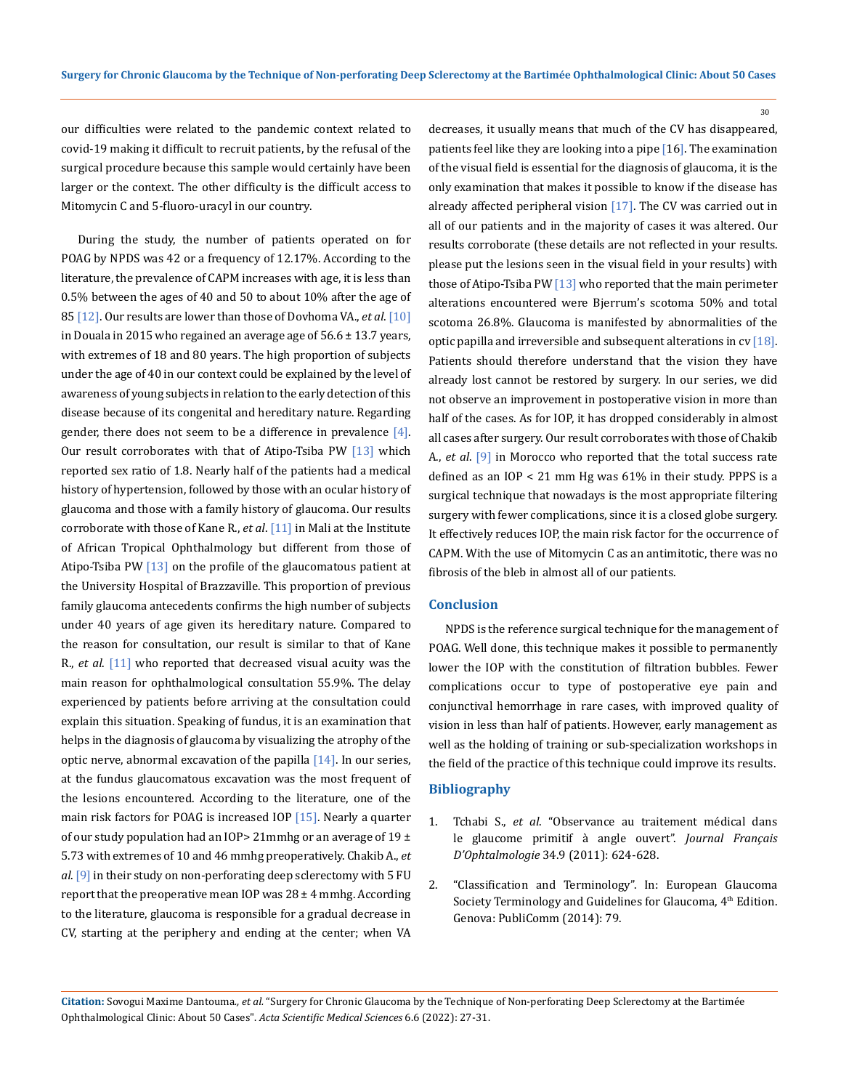our difficulties were related to the pandemic context related to covid-19 making it difficult to recruit patients, by the refusal of the surgical procedure because this sample would certainly have been larger or the context. The other difficulty is the difficult access to Mitomycin C and 5-fluoro-uracyl in our country.

During the study, the number of patients operated on for POAG by NPDS was 42 or a frequency of 12.17%. According to the literature, the prevalence of CAPM increases with age, it is less than 0.5% between the ages of 40 and 50 to about 10% after the age of 85 [12]. Our results are lower than those of Dovhoma VA., *et al*. [10] in Douala in 2015 who regained an average age of  $56.6 \pm 13.7$  years, with extremes of 18 and 80 years. The high proportion of subjects under the age of 40 in our context could be explained by the level of awareness of young subjects in relation to the early detection of this disease because of its congenital and hereditary nature. Regarding gender, there does not seem to be a difference in prevalence  $[4]$ . Our result corroborates with that of Atipo-Tsiba PW  $[13]$  which reported sex ratio of 1.8. Nearly half of the patients had a medical history of hypertension, followed by those with an ocular history of glaucoma and those with a family history of glaucoma. Our results corroborate with those of Kane R., *et al*. [11] in Mali at the Institute of African Tropical Ophthalmology but different from those of Atipo-Tsiba PW  $\left[13\right]$  on the profile of the glaucomatous patient at the University Hospital of Brazzaville. This proportion of previous family glaucoma antecedents confirms the high number of subjects under 40 years of age given its hereditary nature. Compared to the reason for consultation, our result is similar to that of Kane R., *et al*. [11] who reported that decreased visual acuity was the main reason for ophthalmological consultation 55.9%. The delay experienced by patients before arriving at the consultation could explain this situation. Speaking of fundus, it is an examination that helps in the diagnosis of glaucoma by visualizing the atrophy of the optic nerve, abnormal excavation of the papilla  $[14]$ . In our series, at the fundus glaucomatous excavation was the most frequent of the lesions encountered. According to the literature, one of the main risk factors for POAG is increased IOP [15]. Nearly a quarter of our study population had an IOP > 21 mmhg or an average of 19  $\pm$ 5.73 with extremes of 10 and 46 mmhg preoperatively. Chakib A., *et al*. [9] in their study on non-perforating deep sclerectomy with 5 FU report that the preoperative mean IOP was  $28 \pm 4$  mmhg. According to the literature, glaucoma is responsible for a gradual decrease in CV, starting at the periphery and ending at the center; when VA

decreases, it usually means that much of the CV has disappeared, patients feel like they are looking into a pipe [16]. The examination of the visual field is essential for the diagnosis of glaucoma, it is the only examination that makes it possible to know if the disease has already affected peripheral vision [17]. The CV was carried out in all of our patients and in the majority of cases it was altered. Our results corroborate (these details are not reflected in your results. please put the lesions seen in the visual field in your results) with those of Atipo-Tsiba PW  $[13]$  who reported that the main perimeter alterations encountered were Bjerrum's scotoma 50% and total scotoma 26.8%. Glaucoma is manifested by abnormalities of the optic papilla and irreversible and subsequent alterations in  $cv$  [18]. Patients should therefore understand that the vision they have already lost cannot be restored by surgery. In our series, we did not observe an improvement in postoperative vision in more than half of the cases. As for IOP, it has dropped considerably in almost all cases after surgery. Our result corroborates with those of Chakib A., *et al*. [9] in Morocco who reported that the total success rate defined as an IOP < 21 mm Hg was 61% in their study. PPPS is a surgical technique that nowadays is the most appropriate filtering surgery with fewer complications, since it is a closed globe surgery. It effectively reduces IOP, the main risk factor for the occurrence of CAPM. With the use of Mitomycin C as an antimitotic, there was no fibrosis of the bleb in almost all of our patients.

30

#### **Conclusion**

NPDS is the reference surgical technique for the management of POAG. Well done, this technique makes it possible to permanently lower the IOP with the constitution of filtration bubbles. Fewer complications occur to type of postoperative eye pain and conjunctival hemorrhage in rare cases, with improved quality of vision in less than half of patients. However, early management as well as the holding of training or sub-specialization workshops in the field of the practice of this technique could improve its results.

### **Bibliography**

- 1. Tchabi S., *et al*[. "Observance au traitement médical dans](https://doi.org/10.1016/j.jfo.2011.07.009) [le glaucome primitif à angle ouvert".](https://doi.org/10.1016/j.jfo.2011.07.009) *Journal Français D'Ophtalmologie* [34.9 \(2011\): 624-628.](https://doi.org/10.1016/j.jfo.2011.07.009)
- 2. "Classification and Terminology". In: European Glaucoma Society Terminology and Guidelines for Glaucoma, 4<sup>th</sup> Edition. Genova: PubliComm (2014): 79.